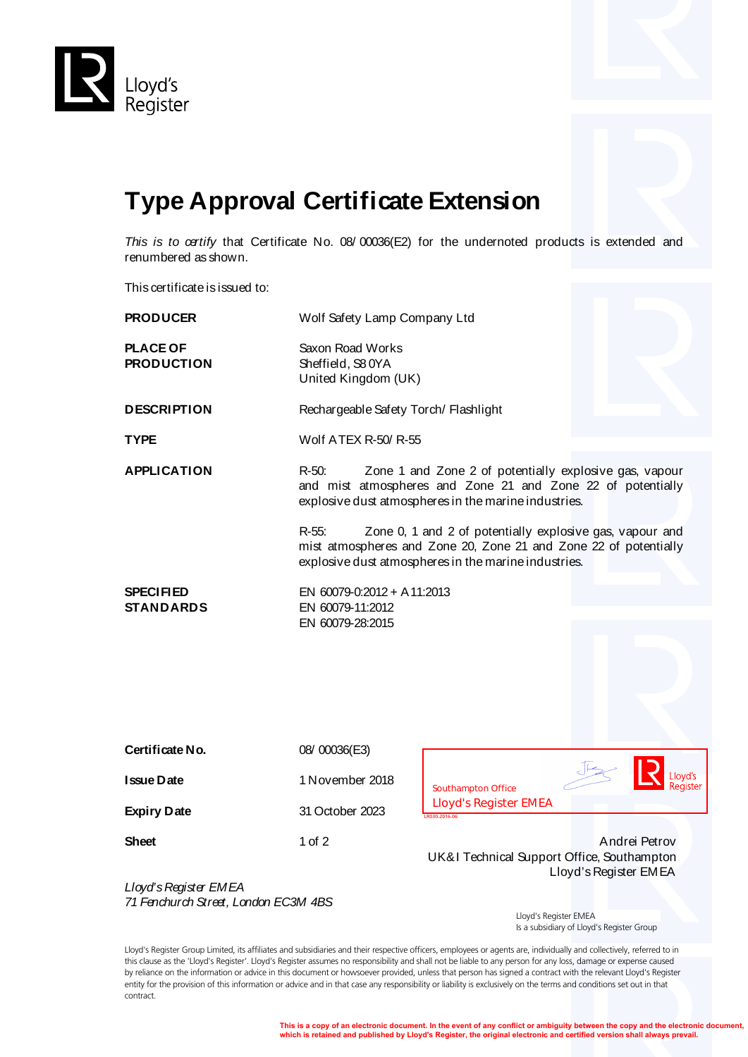

## **Type Approval Certificate Extension**

*This is to certify* that Certificate No. 08/ 00036(E2) for the undernoted products is extended and renumbered as shown.

This certificate is issued to:

| <b>PRODUCER</b>                                               |                                                                                                                                                                                                  | Wolf Safety Lamp Company Ltd                                                         |  |  |  |
|---------------------------------------------------------------|--------------------------------------------------------------------------------------------------------------------------------------------------------------------------------------------------|--------------------------------------------------------------------------------------|--|--|--|
| <b>PLACE OF</b><br><b>PRODUCTION</b>                          | Saxon Road Works<br>Sheffield, S80YA                                                                                                                                                             | United Kingdom (UK)                                                                  |  |  |  |
| <b>DESCRIPTION</b>                                            |                                                                                                                                                                                                  | Rechargeable Safety Torch/ Flashlight                                                |  |  |  |
| <b>TYPE</b>                                                   |                                                                                                                                                                                                  | Wolf ATEX R-50/R-55                                                                  |  |  |  |
| <b>APPLICATION</b>                                            | $R-50$ :<br>Zone 1 and Zone 2 of potentially explosive gas, vapour<br>and mist atmospheres and Zone 21 and Zone 22 of potentially<br>explosive dust atmospheres in the marine industries.        |                                                                                      |  |  |  |
|                                                               | $R-55$ :<br>Zone 0, 1 and 2 of potentially explosive gas, vapour and<br>mist atmospheres and Zone 20, Zone 21 and Zone 22 of potentially<br>explosive dust atmospheres in the marine industries. |                                                                                      |  |  |  |
| <b>SPECIFIED</b><br><b>STANDARDS</b>                          | EN 60079-0:2012 + A 11:2013<br>EN 60079-11:2012                                                                                                                                                  |                                                                                      |  |  |  |
|                                                               | EN 60079-28:2015                                                                                                                                                                                 |                                                                                      |  |  |  |
| Certificate No.                                               | 08/00036(E3)                                                                                                                                                                                     |                                                                                      |  |  |  |
| Issue Date                                                    | 1 November 2018                                                                                                                                                                                  | loyd's<br><b>Southampton Office</b>                                                  |  |  |  |
| <b>Expiry Date</b>                                            | 31 October 2023                                                                                                                                                                                  | <b>Lloyd's Register EMEA</b><br>3030.2016.06                                         |  |  |  |
| <b>Sheet</b>                                                  | 1 of 2                                                                                                                                                                                           | Andrei Petrov<br>UK&I Technical Support Office, Southampton<br>Lloyd's Register EMEA |  |  |  |
| Lloyd's Register EMEA<br>71 Fenchurch Street, London EC3M 4BS |                                                                                                                                                                                                  |                                                                                      |  |  |  |

*71 Fenchurch Street, London EC3M 4BS*

 Lloyd's Register EMEA Is a subsidiary of Lloyd's Register Group

Lloyd's Register Group Limited, its affiliates and subsidiaries and their respective officers, employees or agents are, individually and collectively, referred to in this clause as the 'Lloyd's Register'. Lloyd's Register assumes no responsibility and shall not be liable to any person for any loss, damage or expense caused by reliance on the information or advice in this document or howsoever provided, unless that person has signed a contract with the relevant Lloyd's Register entity for the provision of this information or advice and in that case any responsibility or liability is exclusively on the terms and conditions set out in that contract.